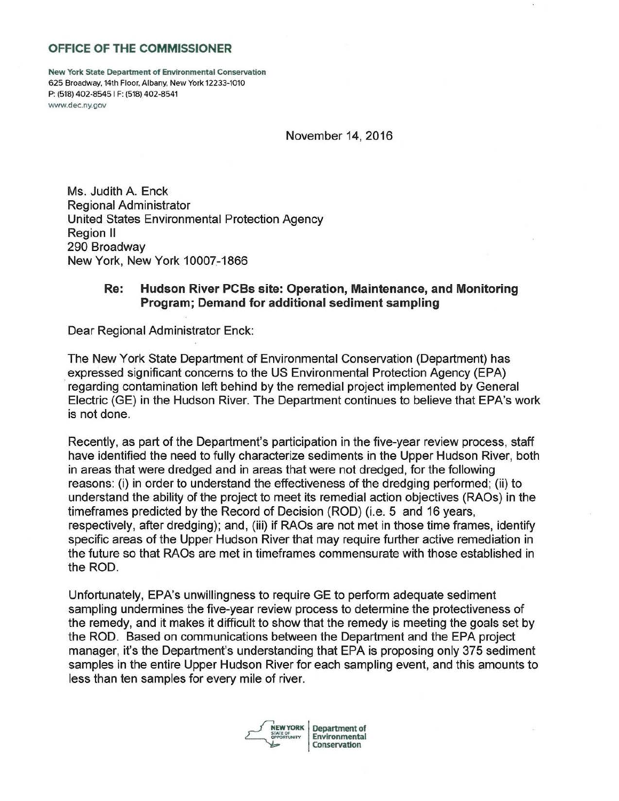## **OFFICE OF THE COMMISSIONER**

New York State Department of Environmental Conservation 625 Broadway, 14th Floor, Albany, New York 12233-1010 P: (518) 402-8545 1 F: (518) 402-8541 www.dec.ny.gov

November 14, 2016

Ms. Judith A. Enck Regional Administrator United States Environmental Protection Agency Region II 290 Broadway New York, New York 10007.-1866

## **Re: Hudson River PCBs site: Operation, Maintenance, and Monitoring Program; Demand for additional sediment sampling**

Dear Regional Administrator Enck:

The New York State Department of Environmental Conservation (Department) has expressed significant concerns to the US Environmental Protection Agency (EPA) regarding contamination left behind by the remedial project implemented by General Electric (GE) in the Hudson River. The Department continues to believe that EPA's work is not done.

Recently, as part of the Department's participation in the five-year review process, staff have identified the need to fully characterize sediments in the Upper Hudson River, both in areas that were dredged and in areas that were not dredged, for the following reasons: (i) in order to understand the effectiveness of the dredging performed; (ii) to understand the ability of the project to meet its remedial action objectives (RAOs) in the timeframes predicted by the Record of Decision (ROD) (i.e. 5 and 16 years, respectively, after dredging); and, (iii) if RAOs are not met in those time frames, identify specific areas of the Upper Hudson River that may require further active remediation in the future so that RAOs are met in timeframes commensurate with those established in the ROD.

Unfortunately, EPA's unwillingness to require GE to perform adequate sediment sampling undermines the five-year review process to determine the protectiveness of the remedy, and it makes it difficult to show that the remedy is meeting the goals set by the ROD. Based on communications between the Department and the EPA project manager, it's the Department's understanding that EPA is proposing only 375 sediment samples in the entire Upper Hudson River for each sampling event, and this amounts to less than ten samples for every mile of river.



**NEW YORK Department of** Department of Conservation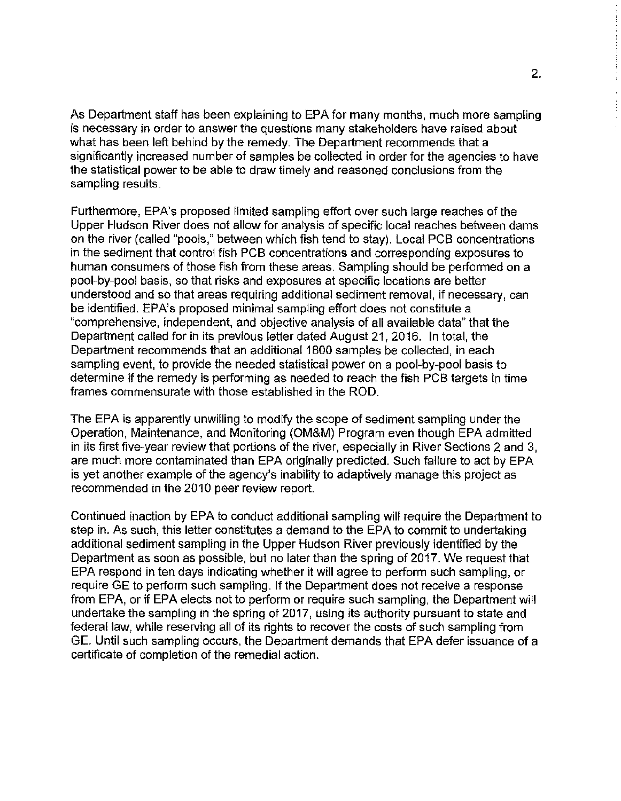As Department staff has been explaining to EPA for many months, much more sampling **is necessary in order to answer the questions many stakeholders have raised about**  what has been left behind by the remedy. The Department recommends that a significantly increased number of samples be collected in order for the agencies to have **the statistical power to be able to draw timely and reasoned conclusions from the**  sampling results.

Furthermore, EPA's proposed limited sampling effort over such large reaches of the Upper Hudson River does not allow for analysis of specific local reaches between dams on the river (called "pools," between which fish tend to stay). Local PCB concentrations in the sediment that control fish PCB concentrations and corresponding exposures to human consumers of those fish from these areas. Sampling should be performed on a pool-by-pool basis, so that risks and exposures at specific locations are better **understood and so that areas requiring additional sediment removal, if necessary, can**  be identified. EPA's proposed minimal sampling effort does not constitute a "comprehensive, independent, and objective analysis of all available data" that the Department called for in its previous letter dated August 21, 2016. In total, the Department recommends that an additional 1800 samples be collected, in each sampling event, to provide the needed statistical power on a pool-by-pool basis to determine if the remedy is performing as needed to reach the fish PCB targets in time frames commensurate with those established in the ROD.

The EPA is apparently unwilling to modify the scope of sediment sampling under the Operation, Maintenance, and Monitoring (OM&M) Program even though EPA admitted in its first five-year review that portions of the river, especially in River Sections 2 and 3, are much more contaminated than EPA originally predicted. Such failure to act by EPA is yet another example of the agency's inability to adaptively manage this project as recommended in the 2010 peer review report.

Continued inaction by EPA to conduct additional sampling will require the Department to step in. As such, this letter constitutes a demand to the EPA to commit to undertaking additional sediment sampling in the Upper Hudson River previously identified by the Department as soon as possible, but no later than the spring of 2017. We request that EPA respond in ten days indicating whether it will agree to perform such sampling, or **require GE to perform such sampling. lf the Department does not receive a response**  from EPA, or if EPA elects not to perform or require such sampling, the Department will undertake the sampling in the spring of 2017, using its authority pursuant to state and federal law, while reserving all of its rights to recover the costs of such sampling from GE. Until such sampling occurs, the Department demands that EPA defer issuance of a certificate of completion of the remedial action.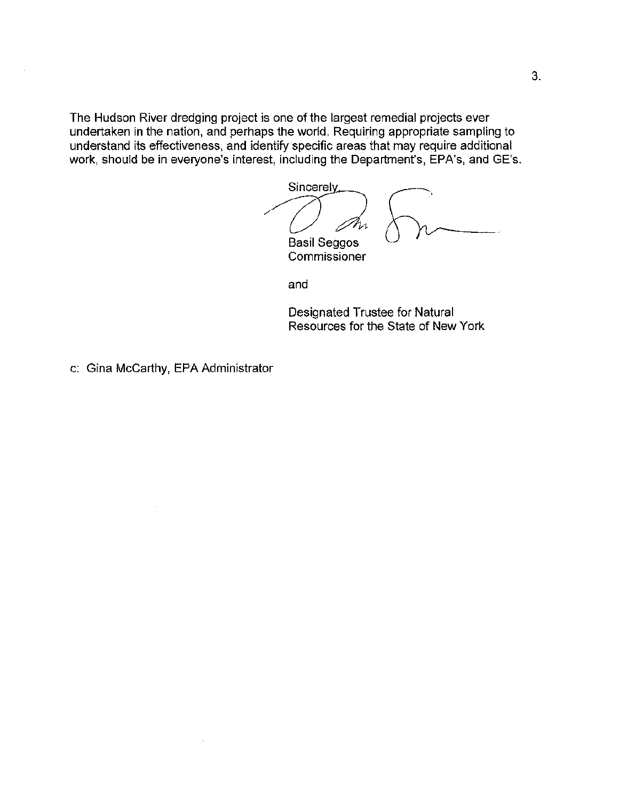**The Hudson River dredging project is one of the largest remedial projects ever**  undertaken in the nation, and perhaps the world. Requiring appropriate sampling to understand its effectiveness, and identify specific areas that may require additional work, should be in everyone's interest, including the Department's, EPA's, and GE's.

Sincerely,  $\bigwedge$ Basil Seggos

**Commissioner** 

and

Designated Trustee for Natural Resources for the State of New York

c: Gina McCarthy, EPA Administrator